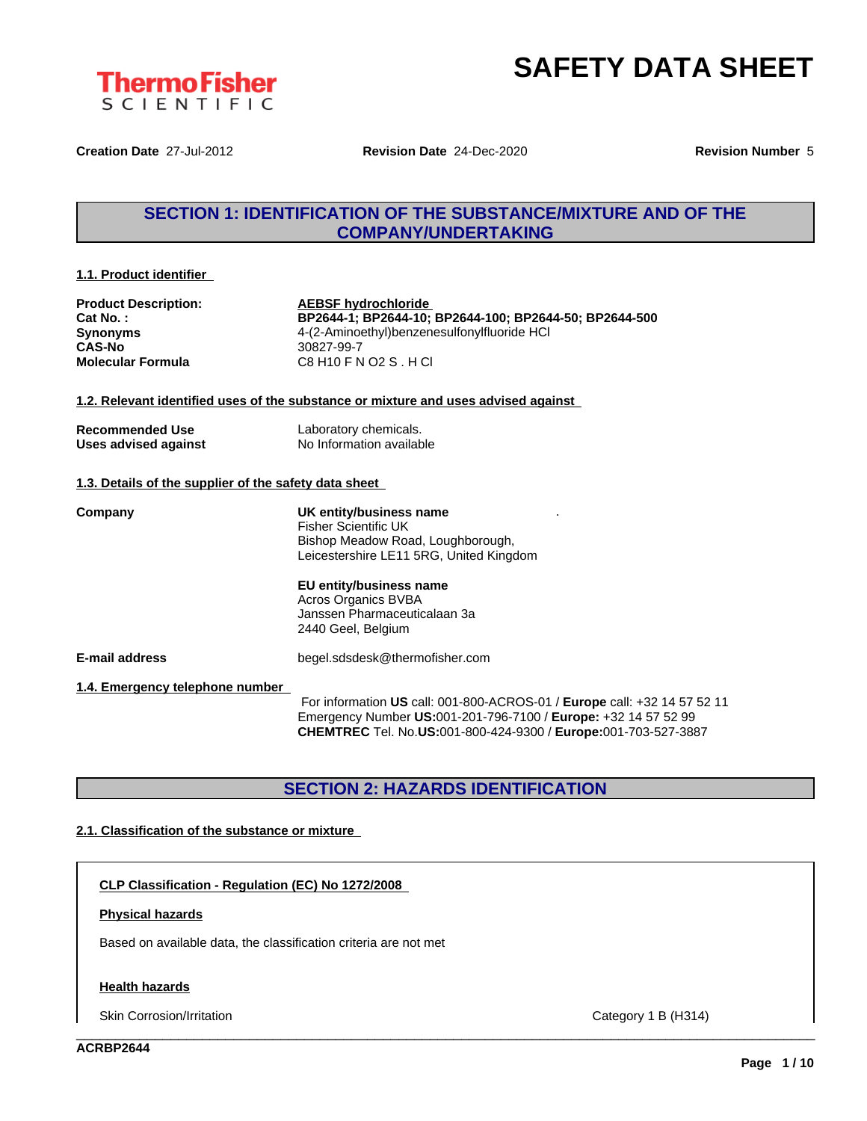

**Creation Date** 27-Jul-2012 **Revision Date** 24-Dec-2020 **Revision Number** 5

# **SECTION 1: IDENTIFICATION OF THE SUBSTANCE/MIXTURE AND OF THE COMPANY/UNDERTAKING**

### **1.1. Product identifier**

| <b>Product Description:</b> | <b>AEBSF hydrochloride</b>                             |
|-----------------------------|--------------------------------------------------------|
| $Cat No.$ :                 | BP2644-1; BP2644-10; BP2644-100; BP2644-50; BP2644-500 |
| <b>Synonyms</b>             | 4-(2-Aminoethyl)benzenesulfonylfluoride HCl            |
| <b>CAS-No</b>               | 30827-99-7                                             |
| <b>Molecular Formula</b>    | C8 H10 F N O2 S . H CI                                 |

**1.2. Relevant identified uses of the substance or mixture and uses advised against**

| <b>Recommended Use</b> | Laboratory chemicals.    |
|------------------------|--------------------------|
| Uses advised against   | No Information available |

### **1.3. Details of the supplier of the safety data sheet**

| Company                         | UK entity/business name<br><b>Fisher Scientific UK</b><br>Bishop Meadow Road, Loughborough,<br>Leicestershire LE11 5RG, United Kingdom                                                                              |
|---------------------------------|---------------------------------------------------------------------------------------------------------------------------------------------------------------------------------------------------------------------|
|                                 | EU entity/business name<br><b>Acros Organics BVBA</b><br>Janssen Pharmaceuticalaan 3a<br>2440 Geel, Belgium                                                                                                         |
| <b>E-mail address</b>           | begel.sdsdesk@thermofisher.com                                                                                                                                                                                      |
| 1.4. Emergency telephone number | For information US call: 001-800-ACROS-01 / Europe call: +32 14 57 52 11<br>Emergency Number US:001-201-796-7100 / Europe: +32 14 57 52 99<br><b>CHEMTREC</b> Tel. No.US:001-800-424-9300 / Europe:001-703-527-3887 |

# **SECTION 2: HAZARDS IDENTIFICATION**

\_\_\_\_\_\_\_\_\_\_\_\_\_\_\_\_\_\_\_\_\_\_\_\_\_\_\_\_\_\_\_\_\_\_\_\_\_\_\_\_\_\_\_\_\_\_\_\_\_\_\_\_\_\_\_\_\_\_\_\_\_\_\_\_\_\_\_\_\_\_\_\_\_\_\_\_\_\_\_\_\_\_\_\_\_\_\_\_\_\_\_\_\_\_

### **2.1. Classification of the substance or mixture**

**CLP Classification - Regulation (EC) No 1272/2008**

### **Physical hazards**

Based on available data, the classification criteria are not met

### **Health hazards**

Skin Corrosion/Irritation Category 1 B (H314)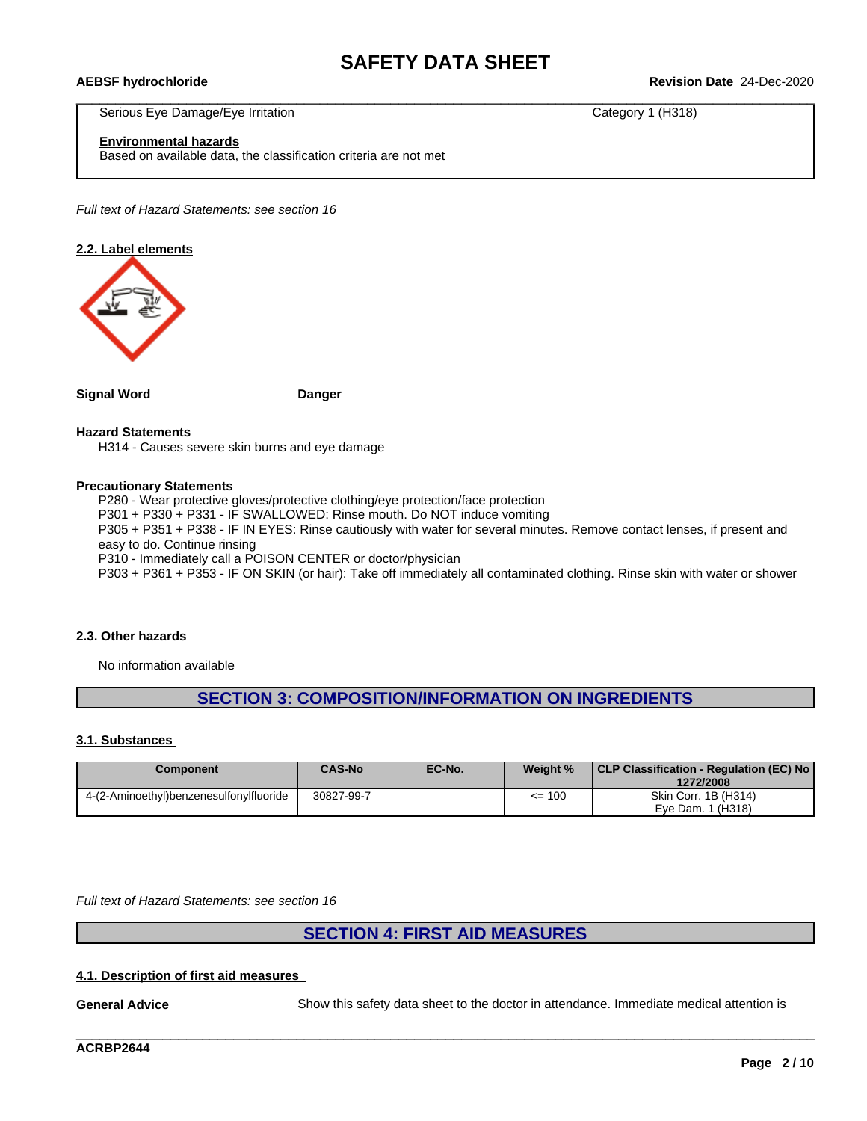\_\_\_\_\_\_\_\_\_\_\_\_\_\_\_\_\_\_\_\_\_\_\_\_\_\_\_\_\_\_\_\_\_\_\_\_\_\_\_\_\_\_\_\_\_\_\_\_\_\_\_\_\_\_\_\_\_\_\_\_\_\_\_\_\_\_\_\_\_\_\_\_\_\_\_\_\_\_\_\_\_\_\_\_\_\_\_\_\_\_\_\_\_\_ **AEBSF hydrochloride Revision Date** 24-Dec-2020

Serious Eye Damage/Eye Irritation **Category 1 (H318)** Category 1 (H318)

**Environmental hazards**

Based on available data, the classification criteria are not met

*Full text of Hazard Statements: see section 16*

### **2.2. Label elements**



**Signal Word Danger**

### **Hazard Statements**

H314 - Causes severe skin burns and eye damage

### **Precautionary Statements**

P280 - Wear protective gloves/protective clothing/eye protection/face protection

P301 + P330 + P331 - IF SWALLOWED: Rinse mouth. Do NOT induce vomiting

P305 + P351 + P338 - IF IN EYES: Rinse cautiously with water for several minutes. Remove contact lenses, if present and easy to do. Continue rinsing

P310 - Immediately call a POISON CENTER or doctor/physician

P303 + P361 + P353 - IF ON SKIN (or hair): Take off immediately all contaminated clothing. Rinse skin with water or shower

### **2.3. Other hazards**

No information available

# **SECTION 3: COMPOSITION/INFORMATION ON INGREDIENTS**

### **3.1. Substances**

| Component                               | <b>CAS-No</b> | EC-No. | Weight %   | CLP Classification - Regulation (EC) No<br>1272/2008 |
|-----------------------------------------|---------------|--------|------------|------------------------------------------------------|
| 4-(2-Aminoethyl)benzenesulfonylfluoride | 30827-99-7    |        | $\leq$ 100 | Skin Corr. 1B (H314)                                 |
|                                         |               |        |            | Eve Dam. 1 (H318)                                    |

*Full text of Hazard Statements: see section 16*

## **SECTION 4: FIRST AID MEASURES**

### **4.1. Description of first aid measures**

**General Advice** Show this safety data sheet to the doctor in attendance. Immediate medical attention is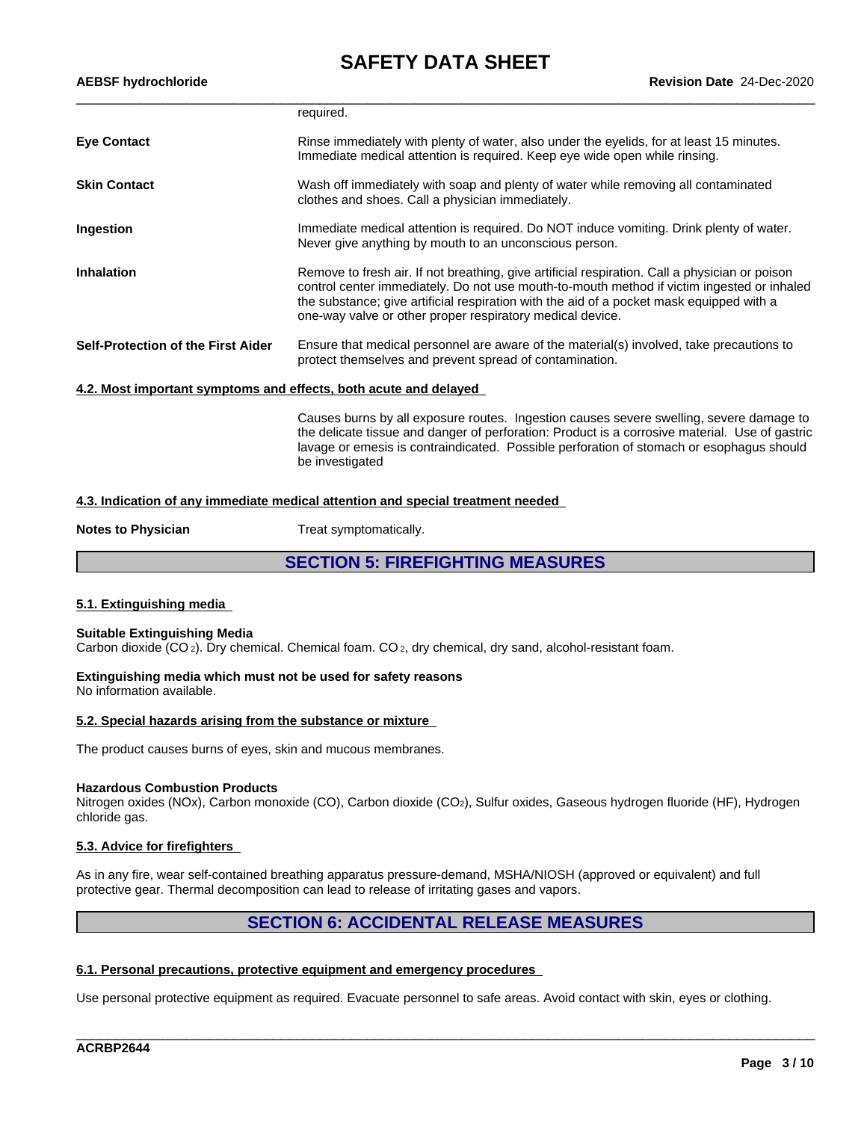| <b>AEBSF hydrochloride</b>                                       | <b>Revision Date 24-Dec-2020</b>                                                                                                                                                                                                                                                                                                                      |  |  |
|------------------------------------------------------------------|-------------------------------------------------------------------------------------------------------------------------------------------------------------------------------------------------------------------------------------------------------------------------------------------------------------------------------------------------------|--|--|
|                                                                  | required.                                                                                                                                                                                                                                                                                                                                             |  |  |
| <b>Eye Contact</b>                                               | Rinse immediately with plenty of water, also under the eyelids, for at least 15 minutes.<br>Immediate medical attention is required. Keep eye wide open while rinsing.                                                                                                                                                                                |  |  |
| <b>Skin Contact</b>                                              | Wash off immediately with soap and plenty of water while removing all contaminated<br>clothes and shoes. Call a physician immediately.                                                                                                                                                                                                                |  |  |
| Ingestion                                                        | Immediate medical attention is required. Do NOT induce vomiting. Drink plenty of water.<br>Never give anything by mouth to an unconscious person.                                                                                                                                                                                                     |  |  |
| <b>Inhalation</b>                                                | Remove to fresh air. If not breathing, give artificial respiration. Call a physician or poison<br>control center immediately. Do not use mouth-to-mouth method if victim ingested or inhaled<br>the substance; give artificial respiration with the aid of a pocket mask equipped with a<br>one-way valve or other proper respiratory medical device. |  |  |
| <b>Self-Protection of the First Aider</b>                        | Ensure that medical personnel are aware of the material(s) involved, take precautions to<br>protect themselves and prevent spread of contamination.                                                                                                                                                                                                   |  |  |
| 4.2. Most important symptoms and effects, both acute and delayed |                                                                                                                                                                                                                                                                                                                                                       |  |  |
|                                                                  | Causes burns by all exposure routes. Ingestion causes severe swelling, severe damage to<br>the delicate tissue and danger of perforation: Product is a corrosive material. Use of gastric<br>lavage or emesis is contraindicated. Possible perforation of stomach or esophagus should<br>be investigated                                              |  |  |
|                                                                  |                                                                                                                                                                                                                                                                                                                                                       |  |  |

### **4.3. Indication of any immediate medical attention and special treatment needed**

**Notes to Physician** Treat symptomatically.

**SECTION 5: FIREFIGHTING MEASURES**

### **5.1. Extinguishing media**

### **Suitable Extinguishing Media**

Carbon dioxide  $(CO_2)$ . Dry chemical. Chemical foam.  $CO_2$ , dry chemical, dry sand, alcohol-resistant foam.

### **Extinguishing media which must not be used for safety reasons** No information available.

**5.2. Special hazards arising from the substance or mixture**

The product causes burns of eyes, skin and mucous membranes.

### **Hazardous Combustion Products**

Nitrogen oxides (NOx), Carbon monoxide (CO), Carbon dioxide (CO2), Sulfur oxides, Gaseous hydrogen fluoride (HF), Hydrogen chloride gas.

## **5.3. Advice for firefighters**

As in any fire, wear self-contained breathing apparatus pressure-demand, MSHA/NIOSH (approved or equivalent) and full protective gear. Thermal decomposition can lead to release of irritating gases and vapors.

# **SECTION 6: ACCIDENTAL RELEASE MEASURES**

\_\_\_\_\_\_\_\_\_\_\_\_\_\_\_\_\_\_\_\_\_\_\_\_\_\_\_\_\_\_\_\_\_\_\_\_\_\_\_\_\_\_\_\_\_\_\_\_\_\_\_\_\_\_\_\_\_\_\_\_\_\_\_\_\_\_\_\_\_\_\_\_\_\_\_\_\_\_\_\_\_\_\_\_\_\_\_\_\_\_\_\_\_\_

### **6.1. Personal precautions, protective equipment and emergency procedures**

Use personal protective equipment as required. Evacuate personnel to safe areas. Avoid contact with skin, eyes or clothing.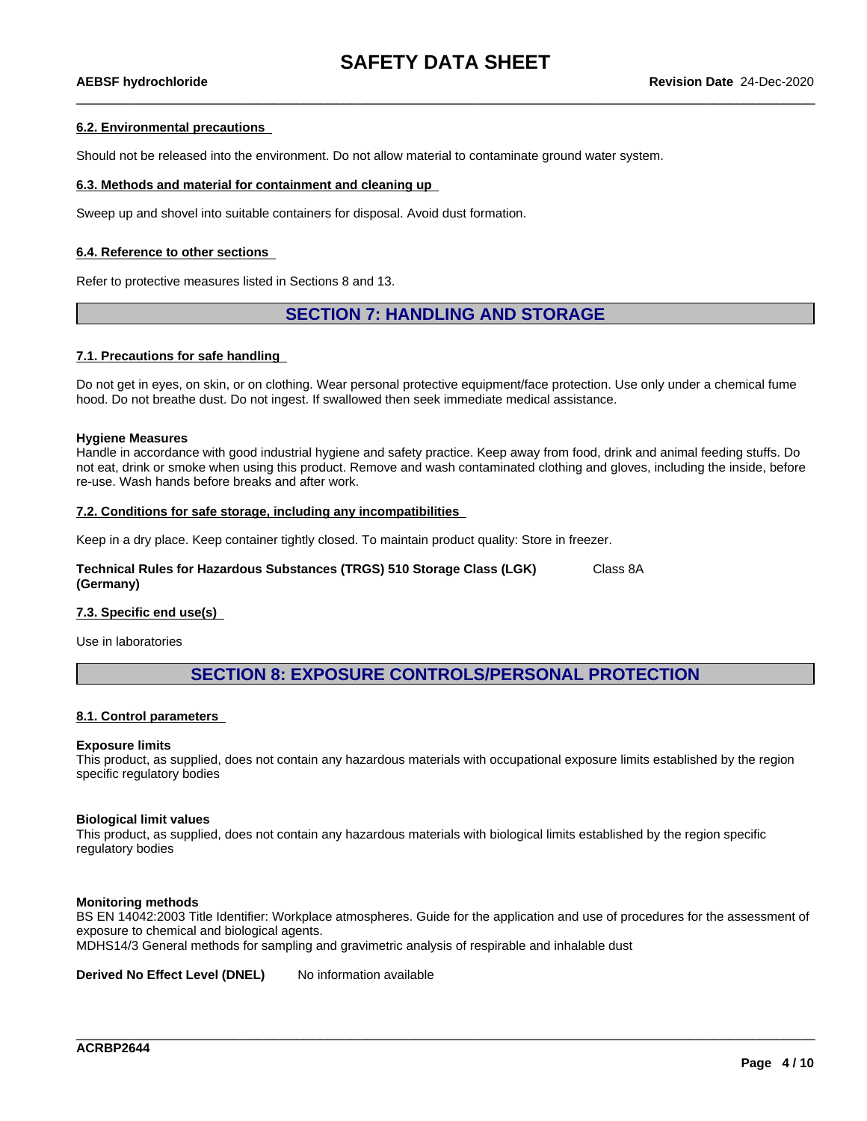### **6.2. Environmental precautions**

Should not be released into the environment. Do not allow material to contaminate ground water system.

### **6.3. Methods and material for containment and cleaning up**

Sweep up and shovel into suitable containers for disposal. Avoid dust formation.

### **6.4. Reference to other sections**

Refer to protective measures listed in Sections 8 and 13.

## **SECTION 7: HANDLING AND STORAGE**

### **7.1. Precautions for safe handling**

Do not get in eyes, on skin, or on clothing. Wear personal protective equipment/face protection. Use only under a chemical fume hood. Do not breathe dust. Do not ingest. If swallowed then seek immediate medical assistance.

### **Hygiene Measures**

Handle in accordance with good industrial hygiene and safety practice. Keep away from food, drink and animal feeding stuffs. Do not eat, drink or smoke when using this product. Remove and wash contaminated clothing and gloves, including the inside, before re-use. Wash hands before breaks and after work.

### **7.2. Conditions for safe storage, including any incompatibilities**

Keep in a dry place. Keep container tightly closed. To maintain product quality: Store in freezer.

### **Technical Rules for Hazardous Substances (TRGS) 510 Storage Class (LGK) (Germany)** Class 8A

### **7.3. Specific end use(s)**

Use in laboratories

## **SECTION 8: EXPOSURE CONTROLS/PERSONAL PROTECTION**

### **8.1. Control parameters**

### **Exposure limits**

This product, as supplied, does not contain any hazardous materials with occupational exposure limits established by the region specific regulatory bodies

### **Biological limit values**

This product, as supplied, does not contain any hazardous materials with biological limits established by the region specific regulatory bodies

### **Monitoring methods**

BS EN 14042:2003 Title Identifier: Workplace atmospheres. Guide for the application and use of procedures for the assessment of exposure to chemical and biological agents.

\_\_\_\_\_\_\_\_\_\_\_\_\_\_\_\_\_\_\_\_\_\_\_\_\_\_\_\_\_\_\_\_\_\_\_\_\_\_\_\_\_\_\_\_\_\_\_\_\_\_\_\_\_\_\_\_\_\_\_\_\_\_\_\_\_\_\_\_\_\_\_\_\_\_\_\_\_\_\_\_\_\_\_\_\_\_\_\_\_\_\_\_\_\_

MDHS14/3 General methods for sampling and gravimetric analysis of respirable and inhalable dust

**Derived No Effect Level (DNEL)** No information available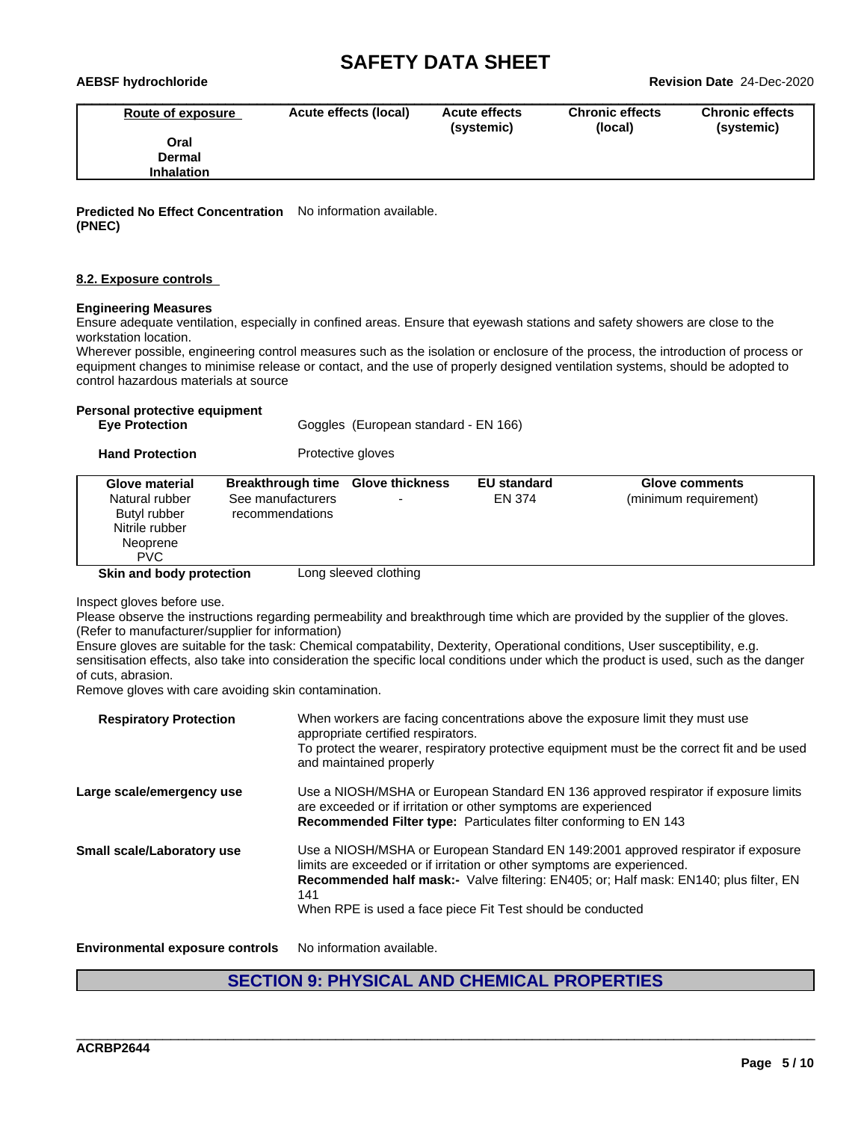| AEBSF hydrochloride |                       |                                    |                                   | <b>Revision Date 24-Dec-2020</b>     |
|---------------------|-----------------------|------------------------------------|-----------------------------------|--------------------------------------|
| Route of exposure   | Acute effects (local) | <b>Acute effects</b><br>(systemic) | <b>Chronic effects</b><br>(local) | <b>Chronic effects</b><br>(systemic) |
| Oral                |                       |                                    |                                   |                                      |
| Dermal              |                       |                                    |                                   |                                      |
| <b>Inhalation</b>   |                       |                                    |                                   |                                      |

**Predicted No Effect Concentration** No information available. **(PNEC)**

### **8.2. Exposure controls**

### **Engineering Measures**

Ensure adequate ventilation, especially in confined areas. Ensure that eyewash stations and safety showers are close to the workstation location.

Wherever possible, engineering control measures such as the isolation or enclosure of the process, the introduction of process or equipment changes to minimise release or contact, and the use of properly designed ventilation systems, should be adopted to control hazardous materials at source

### **Personal protective equipment**

| <b>Eve Protection</b> | Goggles (European standard - EN 166) |  |
|-----------------------|--------------------------------------|--|

| <b>Hand Protection</b> | Protective gloves |  |
|------------------------|-------------------|--|
|------------------------|-------------------|--|

|--|

Inspect gloves before use.

Please observe the instructions regarding permeability and breakthrough time which are provided by the supplier of the gloves. (Refer to manufacturer/supplier for information)

Ensure gloves are suitable for the task: Chemical compatability, Dexterity, Operational conditions, User susceptibility, e.g. sensitisation effects, also take into consideration the specific local conditions under which the product is used, such as the danger of cuts, abrasion.

Remove gloves with care avoiding skin contamination.

| <b>Respiratory Protection</b>          | When workers are facing concentrations above the exposure limit they must use<br>appropriate certified respirators.<br>To protect the wearer, respiratory protective equipment must be the correct fit and be used<br>and maintained properly                                                                                     |
|----------------------------------------|-----------------------------------------------------------------------------------------------------------------------------------------------------------------------------------------------------------------------------------------------------------------------------------------------------------------------------------|
| Large scale/emergency use              | Use a NIOSH/MSHA or European Standard EN 136 approved respirator if exposure limits<br>are exceeded or if irritation or other symptoms are experienced<br>Recommended Filter type: Particulates filter conforming to EN 143                                                                                                       |
| Small scale/Laboratory use             | Use a NIOSH/MSHA or European Standard EN 149:2001 approved respirator if exposure<br>limits are exceeded or if irritation or other symptoms are experienced.<br><b>Recommended half mask:-</b> Valve filtering: EN405; or: Half mask: EN140; plus filter, EN<br>141<br>When RPE is used a face piece Fit Test should be conducted |
| <b>Environmental exposure controls</b> | No information available.                                                                                                                                                                                                                                                                                                         |

# **SECTION 9: PHYSICAL AND CHEMICAL PROPERTIES**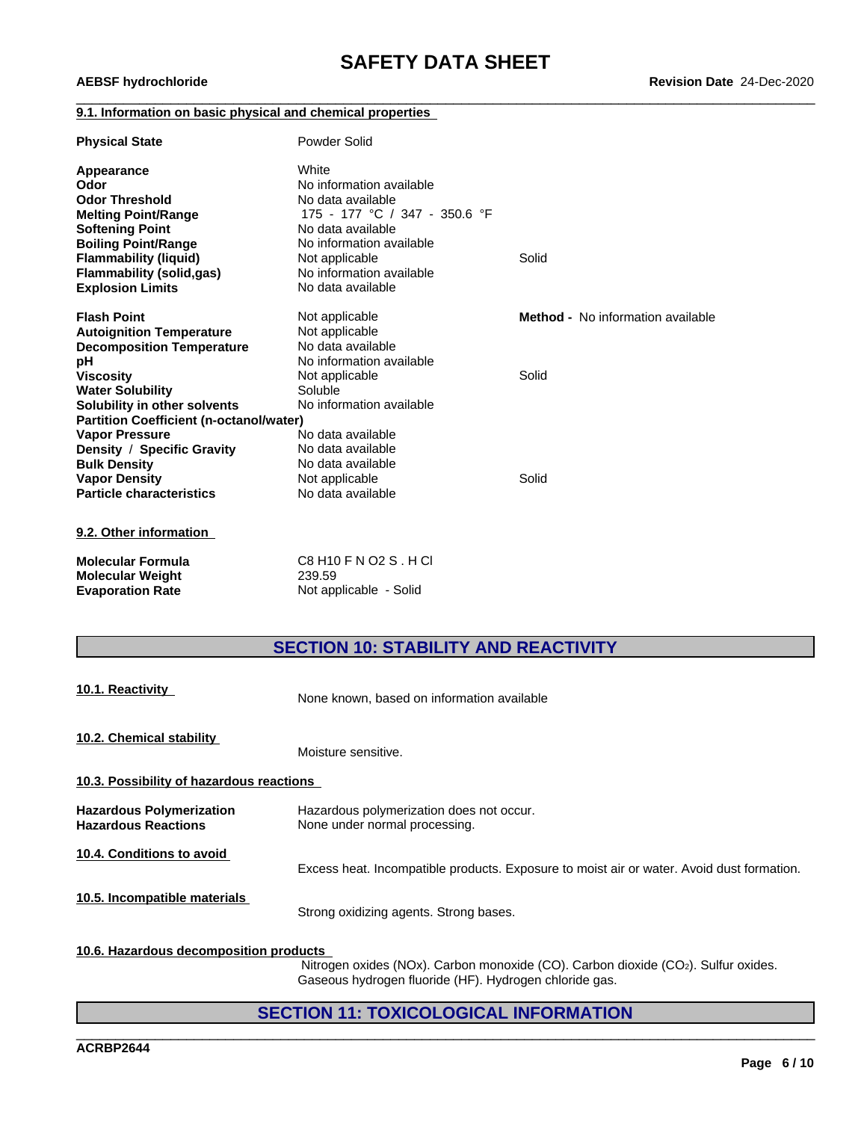### **9.1. Information on basic physical and chemical properties**

| <b>Physical State</b>                          | Powder Solid                  |                                          |
|------------------------------------------------|-------------------------------|------------------------------------------|
| Appearance                                     | White                         |                                          |
| Odor                                           | No information available      |                                          |
| <b>Odor Threshold</b>                          | No data available             |                                          |
| <b>Melting Point/Range</b>                     | 175 - 177 °C / 347 - 350.6 °F |                                          |
| <b>Softening Point</b>                         | No data available             |                                          |
| <b>Boiling Point/Range</b>                     | No information available      |                                          |
| <b>Flammability (liquid)</b>                   | Not applicable                | Solid                                    |
| <b>Flammability (solid,gas)</b>                | No information available      |                                          |
| <b>Explosion Limits</b>                        | No data available             |                                          |
| <b>Flash Point</b>                             | Not applicable                | <b>Method -</b> No information available |
| <b>Autoignition Temperature</b>                | Not applicable                |                                          |
| <b>Decomposition Temperature</b>               | No data available             |                                          |
| рH                                             | No information available      |                                          |
| <b>Viscosity</b>                               | Not applicable                | Solid                                    |
| <b>Water Solubility</b>                        | Soluble                       |                                          |
| Solubility in other solvents                   | No information available      |                                          |
| <b>Partition Coefficient (n-octanol/water)</b> |                               |                                          |
| <b>Vapor Pressure</b>                          | No data available             |                                          |
| Density / Specific Gravity                     | No data available             |                                          |
| <b>Bulk Density</b>                            | No data available             |                                          |
| <b>Vapor Density</b>                           | Not applicable                | Solid                                    |
| <b>Particle characteristics</b>                | No data available             |                                          |
| 9.2. Other information                         |                               |                                          |

| Molecular Formula       | C8 H10 F N O2 S . H CI |
|-------------------------|------------------------|
| Molecular Weight        | 239.59                 |
| <b>Evaporation Rate</b> | Not applicable - Solid |

# **SECTION 10: STABILITY AND REACTIVITY**

| 10.1. Reactivity                                              | None known, based on information available                                                |  |  |  |  |  |
|---------------------------------------------------------------|-------------------------------------------------------------------------------------------|--|--|--|--|--|
| 10.2. Chemical stability                                      | Moisture sensitive.                                                                       |  |  |  |  |  |
| 10.3. Possibility of hazardous reactions                      |                                                                                           |  |  |  |  |  |
| <b>Hazardous Polymerization</b><br><b>Hazardous Reactions</b> | Hazardous polymerization does not occur.<br>None under normal processing.                 |  |  |  |  |  |
| 10.4. Conditions to avoid                                     | Excess heat. Incompatible products. Exposure to moist air or water. Avoid dust formation. |  |  |  |  |  |
| 10.5. Incompatible materials                                  | Strong oxidizing agents. Strong bases.                                                    |  |  |  |  |  |
|                                                               |                                                                                           |  |  |  |  |  |

## **10.6. Hazardous decomposition products**

Nitrogen oxides (NOx). Carbon monoxide (CO). Carbon dioxide (CO2). Sulfur oxides. Gaseous hydrogen fluoride (HF). Hydrogen chloride gas.

\_\_\_\_\_\_\_\_\_\_\_\_\_\_\_\_\_\_\_\_\_\_\_\_\_\_\_\_\_\_\_\_\_\_\_\_\_\_\_\_\_\_\_\_\_\_\_\_\_\_\_\_\_\_\_\_\_\_\_\_\_\_\_\_\_\_\_\_\_\_\_\_\_\_\_\_\_\_\_\_\_\_\_\_\_\_\_\_\_\_\_\_\_\_

# **SECTION 11: TOXICOLOGICAL INFORMATION**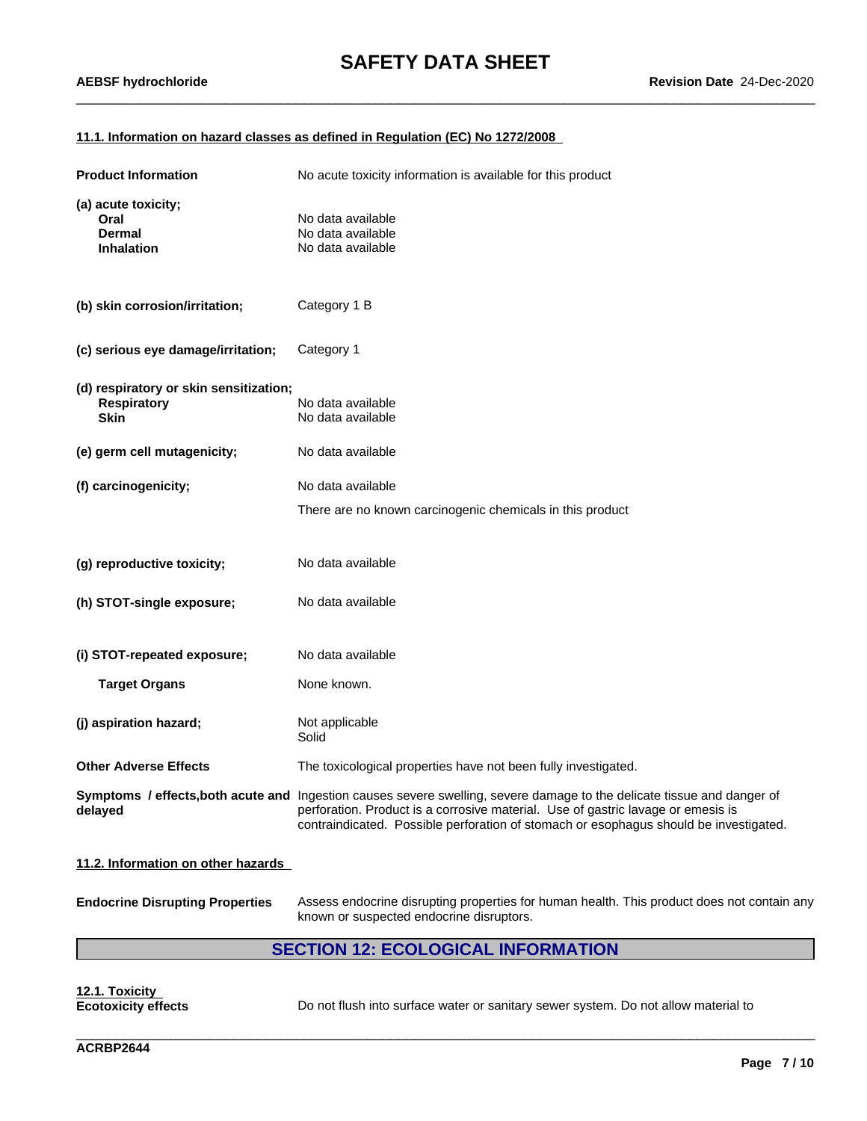### **11.1. Information on hazard classes as defined in Regulation (EC) No 1272/2008**

| <b>Product Information</b>                                                  | No acute toxicity information is available for this product                                                                                                                                                                                                                                          |
|-----------------------------------------------------------------------------|------------------------------------------------------------------------------------------------------------------------------------------------------------------------------------------------------------------------------------------------------------------------------------------------------|
| (a) acute toxicity;<br>Oral<br><b>Dermal</b><br><b>Inhalation</b>           | No data available<br>No data available<br>No data available                                                                                                                                                                                                                                          |
| (b) skin corrosion/irritation;                                              | Category 1 B                                                                                                                                                                                                                                                                                         |
| (c) serious eye damage/irritation;                                          | Category 1                                                                                                                                                                                                                                                                                           |
| (d) respiratory or skin sensitization;<br><b>Respiratory</b><br><b>Skin</b> | No data available<br>No data available                                                                                                                                                                                                                                                               |
| (e) germ cell mutagenicity;                                                 | No data available                                                                                                                                                                                                                                                                                    |
| (f) carcinogenicity;                                                        | No data available                                                                                                                                                                                                                                                                                    |
|                                                                             | There are no known carcinogenic chemicals in this product                                                                                                                                                                                                                                            |
| (g) reproductive toxicity;                                                  | No data available                                                                                                                                                                                                                                                                                    |
| (h) STOT-single exposure;                                                   | No data available                                                                                                                                                                                                                                                                                    |
| (i) STOT-repeated exposure;                                                 | No data available                                                                                                                                                                                                                                                                                    |
| <b>Target Organs</b>                                                        | None known.                                                                                                                                                                                                                                                                                          |
| (j) aspiration hazard;                                                      | Not applicable<br>Solid                                                                                                                                                                                                                                                                              |
| <b>Other Adverse Effects</b>                                                | The toxicological properties have not been fully investigated.                                                                                                                                                                                                                                       |
| delayed                                                                     | Symptoms / effects, both acute and Ingestion causes severe swelling, severe damage to the delicate tissue and danger of<br>perforation. Product is a corrosive material. Use of gastric lavage or emesis is<br>contraindicated. Possible perforation of stomach or esophagus should be investigated. |
| 11.2. Information on other hazards                                          |                                                                                                                                                                                                                                                                                                      |

**Endocrine Disrupting Properties** Assess endocrine disrupting properties for human health. This product does not contain any known or suspected endocrine disruptors.

# **SECTION 12: ECOLOGICAL INFORMATION**

**12.1. Toxicity**

**Ecotoxicity effects** Do not flush into surface water or sanitary sewer system. Do not allow material to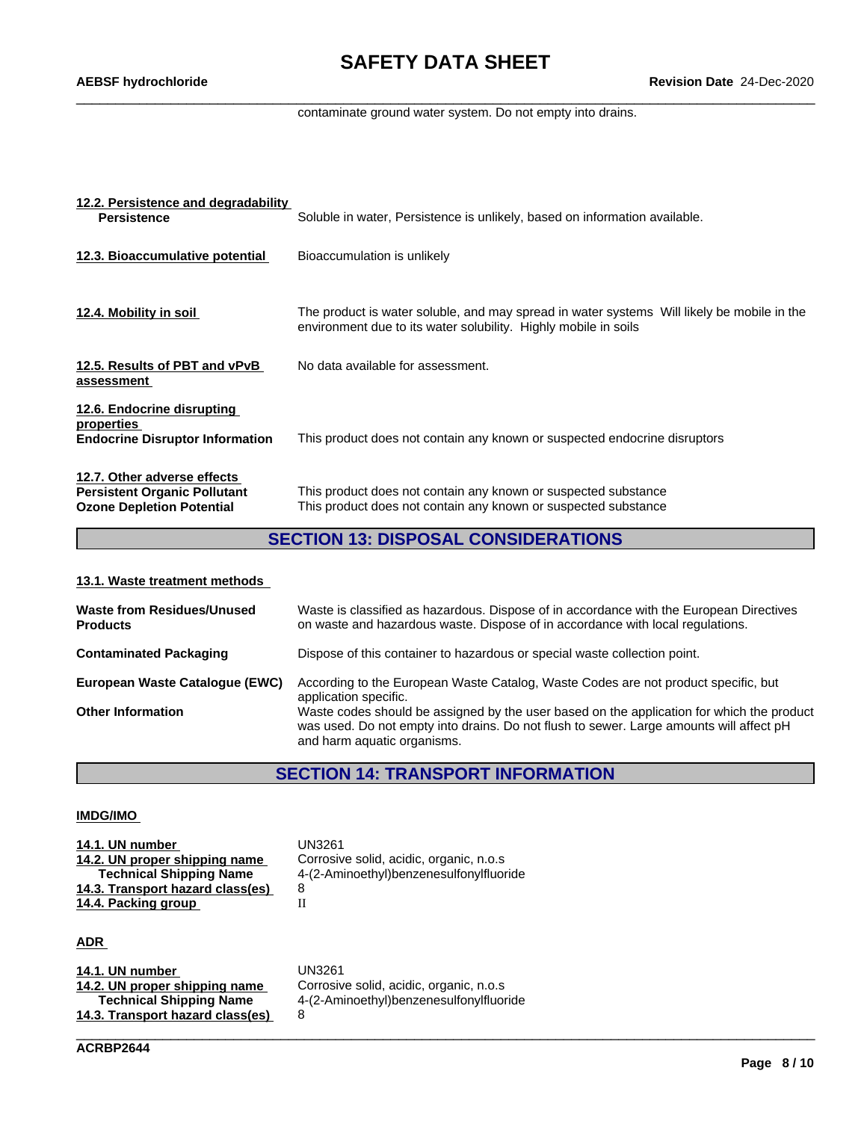contaminate ground water system. Do not empty into drains.

| 12.2. Persistence and degradability<br><b>Persistence</b>                                              | Soluble in water, Persistence is unlikely, based on information available.                                                                                    |
|--------------------------------------------------------------------------------------------------------|---------------------------------------------------------------------------------------------------------------------------------------------------------------|
| 12.3. Bioaccumulative potential                                                                        | Bioaccumulation is unlikely                                                                                                                                   |
| 12.4. Mobility in soil                                                                                 | The product is water soluble, and may spread in water systems Will likely be mobile in the<br>environment due to its water solubility. Highly mobile in soils |
| 12.5. Results of PBT and vPvB<br>assessment                                                            | No data available for assessment.                                                                                                                             |
| 12.6. Endocrine disrupting<br>properties<br><b>Endocrine Disruptor Information</b>                     | This product does not contain any known or suspected endocrine disruptors                                                                                     |
| 12.7. Other adverse effects<br><b>Persistent Organic Pollutant</b><br><b>Ozone Depletion Potential</b> | This product does not contain any known or suspected substance<br>This product does not contain any known or suspected substance                              |

# **SECTION 13: DISPOSAL CONSIDERATIONS**

### **13.1. Waste treatment methods**

| <b>Waste from Residues/Unused</b><br><b>Products</b> | Waste is classified as hazardous. Dispose of in accordance with the European Directives<br>on waste and hazardous waste. Dispose of in accordance with local regulations.                                           |
|------------------------------------------------------|---------------------------------------------------------------------------------------------------------------------------------------------------------------------------------------------------------------------|
| <b>Contaminated Packaging</b>                        | Dispose of this container to hazardous or special waste collection point.                                                                                                                                           |
| European Waste Catalogue (EWC)                       | According to the European Waste Catalog, Waste Codes are not product specific, but<br>application specific.                                                                                                         |
| <b>Other Information</b>                             | Waste codes should be assigned by the user based on the application for which the product<br>was used. Do not empty into drains. Do not flush to sewer. Large amounts will affect pH<br>and harm aquatic organisms. |

# **SECTION 14: TRANSPORT INFORMATION**

\_\_\_\_\_\_\_\_\_\_\_\_\_\_\_\_\_\_\_\_\_\_\_\_\_\_\_\_\_\_\_\_\_\_\_\_\_\_\_\_\_\_\_\_\_\_\_\_\_\_\_\_\_\_\_\_\_\_\_\_\_\_\_\_\_\_\_\_\_\_\_\_\_\_\_\_\_\_\_\_\_\_\_\_\_\_\_\_\_\_\_\_\_\_

### **IMDG/IMO**

| 14.1. UN number                  | UN3261                                  |
|----------------------------------|-----------------------------------------|
| 14.2. UN proper shipping name    | Corrosive solid, acidic, organic, n.o.s |
| <b>Technical Shipping Name</b>   | 4-(2-Aminoethyl)benzenesulfonylfluoride |
| 14.3. Transport hazard class(es) |                                         |
| 14.4. Packing group              |                                         |

### **ADR**

| 14.1. UN number                  | UN3261                                  |
|----------------------------------|-----------------------------------------|
| 14.2. UN proper shipping name    | Corrosive solid, acidic, organic, n.o.s |
| <b>Technical Shipping Name</b>   | 4-(2-Aminoethyl)benzenesulfonylfluoride |
| 14.3. Transport hazard class(es) |                                         |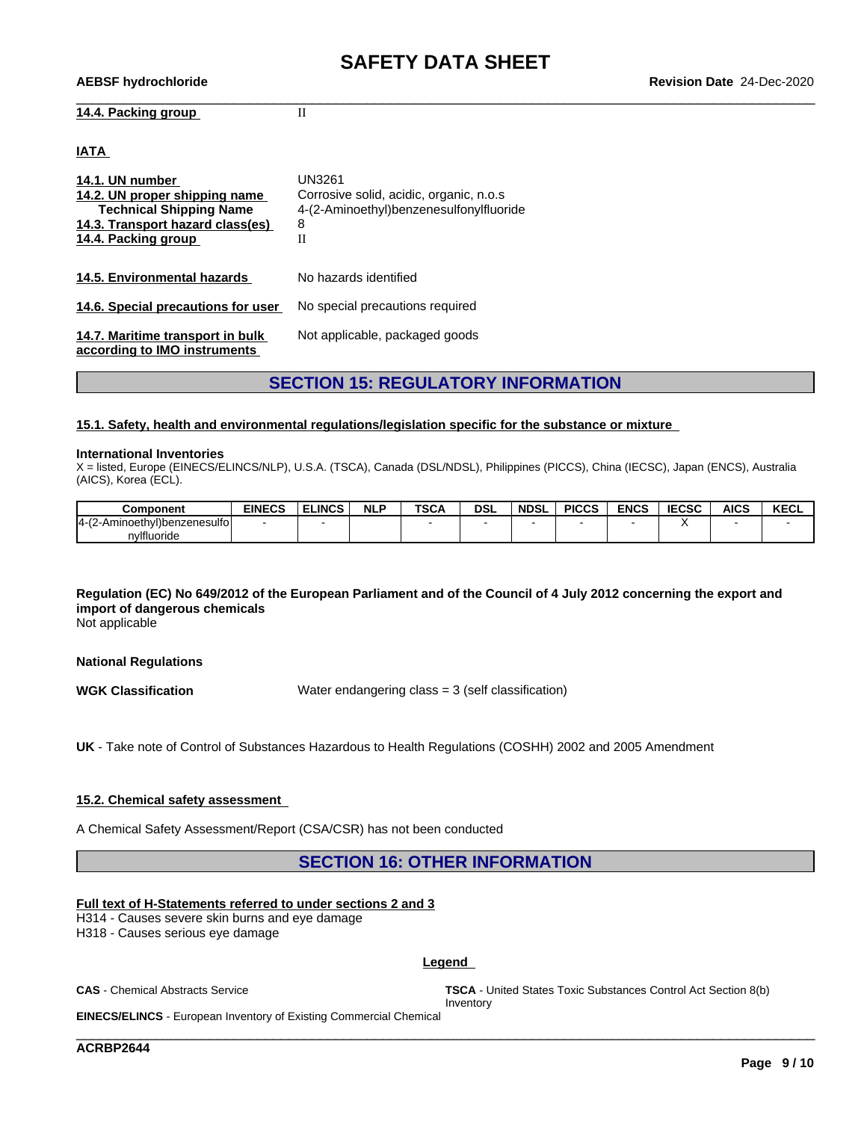### **14.4. Packing group** II

### **IATA**

| 14.1. UN number<br>14.2. UN proper shipping name<br><b>Technical Shipping Name</b><br>14.3. Transport hazard class(es)<br>14.4. Packing group | UN3261<br>Corrosive solid, acidic, organic, n.o.s.<br>4-(2-Aminoethyl)benzenesulfonylfluoride<br>8<br>Н |
|-----------------------------------------------------------------------------------------------------------------------------------------------|---------------------------------------------------------------------------------------------------------|
| 14.5. Environmental hazards                                                                                                                   | No hazards identified                                                                                   |
| 14.6. Special precautions for user                                                                                                            | No special precautions required                                                                         |
| 14.7. Maritime transport in bulk<br>according to IMO instruments                                                                              | Not applicable, packaged goods                                                                          |

## **SECTION 15: REGULATORY INFORMATION**

### **15.1. Safety, health and environmental regulations/legislation specific for the substance or mixture**

### **International Inventories**

X = listed, Europe (EINECS/ELINCS/NLP), U.S.A. (TSCA), Canada (DSL/NDSL), Philippines (PICCS), China (IECSC), Japan (ENCS), Australia (AICS), Korea (ECL).

| <b>Component</b>                         | <b>EINECS</b> | <b>ELINCS</b> | <b>NLF</b> | <b>TSCA</b> | <b>DSL</b> | <b>NDSL</b> | <b>PICCS</b> | <b>ENCS</b> | <b>IEOCO</b><br>:656 | <b>AICS</b> | <b>KECL</b> |
|------------------------------------------|---------------|---------------|------------|-------------|------------|-------------|--------------|-------------|----------------------|-------------|-------------|
| l4-(2-,<br>inoethvl)benzenesulfol<br>-Am |               |               |            |             |            |             |              |             |                      |             |             |
| nvlfluoride                              |               |               |            |             |            |             |              |             |                      |             |             |

## Regulation (EC) No 649/2012 of the European Parliament and of the Council of 4 July 2012 concerning the export and **import of dangerous chemicals**

Not applicable

### **National Regulations**

**WGK Classification** Water endangering class = 3 (self classification)

**UK** - Take note of Control of Substances Hazardous to Health Regulations (COSHH) 2002 and 2005 Amendment

### **15.2. Chemical safety assessment**

A Chemical Safety Assessment/Report (CSA/CSR) has not been conducted

### **SECTION 16: OTHER INFORMATION**

### **Full text of H-Statements referred to undersections 2 and 3**

H314 - Causes severe skin burns and eye damage

H318 - Causes serious eye damage

### **Legend**

\_\_\_\_\_\_\_\_\_\_\_\_\_\_\_\_\_\_\_\_\_\_\_\_\_\_\_\_\_\_\_\_\_\_\_\_\_\_\_\_\_\_\_\_\_\_\_\_\_\_\_\_\_\_\_\_\_\_\_\_\_\_\_\_\_\_\_\_\_\_\_\_\_\_\_\_\_\_\_\_\_\_\_\_\_\_\_\_\_\_\_\_\_\_

**CAS** - Chemical Abstracts Service **TSCA** - United States Toxic Substances Control Act Section 8(b) Inventory

**EINECS/ELINCS** - European Inventory of Existing Commercial Chemical

**ACRBP2644**